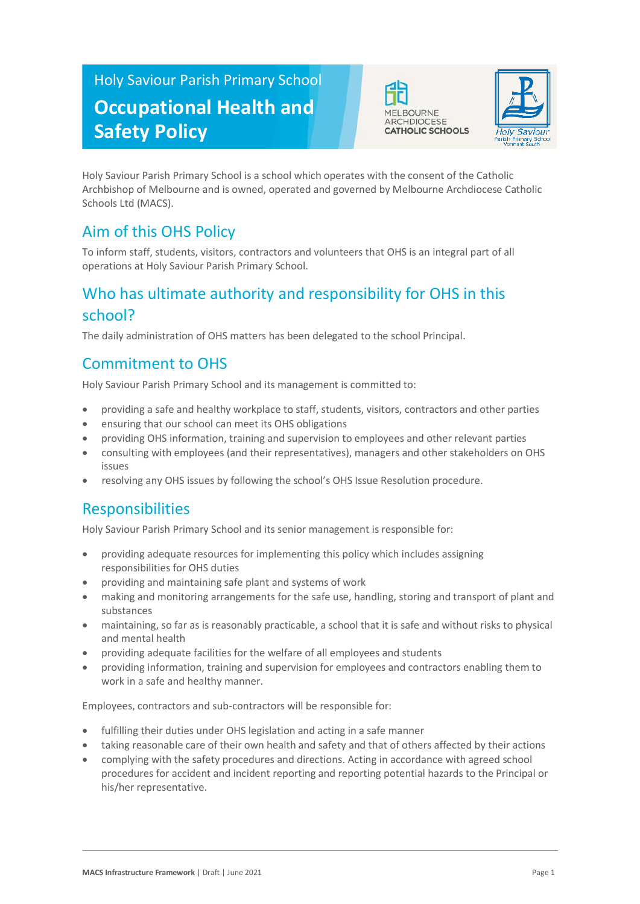# Holy Saviour Parish Primary School **Occupational Health and Safety Policy**





Holy Saviour Parish Primary School is a school which operates with the consent of the Catholic Archbishop of Melbourne and is owned, operated and governed by Melbourne Archdiocese Catholic Schools Ltd (MACS).

## Aim of this OHS Policy

To inform staff, students, visitors, contractors and volunteers that OHS is an integral part of all operations at Holy Saviour Parish Primary School.

## Who has ultimate authority and responsibility for OHS in this school?

The daily administration of OHS matters has been delegated to the school Principal.

## Commitment to OHS

Holy Saviour Parish Primary School and its management is committed to:

- providing a safe and healthy workplace to staff, students, visitors, contractors and other parties
- ensuring that our school can meet its OHS obligations
- providing OHS information, training and supervision to employees and other relevant parties
- consulting with employees (and their representatives), managers and other stakeholders on OHS issues
- resolving any OHS issues by following the school's OHS Issue Resolution procedure.

## **Responsibilities**

Holy Saviour Parish Primary School and its senior management is responsible for:

- providing adequate resources for implementing this policy which includes assigning responsibilities for OHS duties
- providing and maintaining safe plant and systems of work
- making and monitoring arrangements for the safe use, handling, storing and transport of plant and substances
- maintaining, so far as is reasonably practicable, a school that it is safe and without risks to physical and mental health
- providing adequate facilities for the welfare of all employees and students
- providing information, training and supervision for employees and contractors enabling them to work in a safe and healthy manner.

Employees, contractors and sub-contractors will be responsible for:

- fulfilling their duties under OHS legislation and acting in a safe manner
- taking reasonable care of their own health and safety and that of others affected by their actions
- complying with the safety procedures and directions. Acting in accordance with agreed school procedures for accident and incident reporting and reporting potential hazards to the Principal or his/her representative.